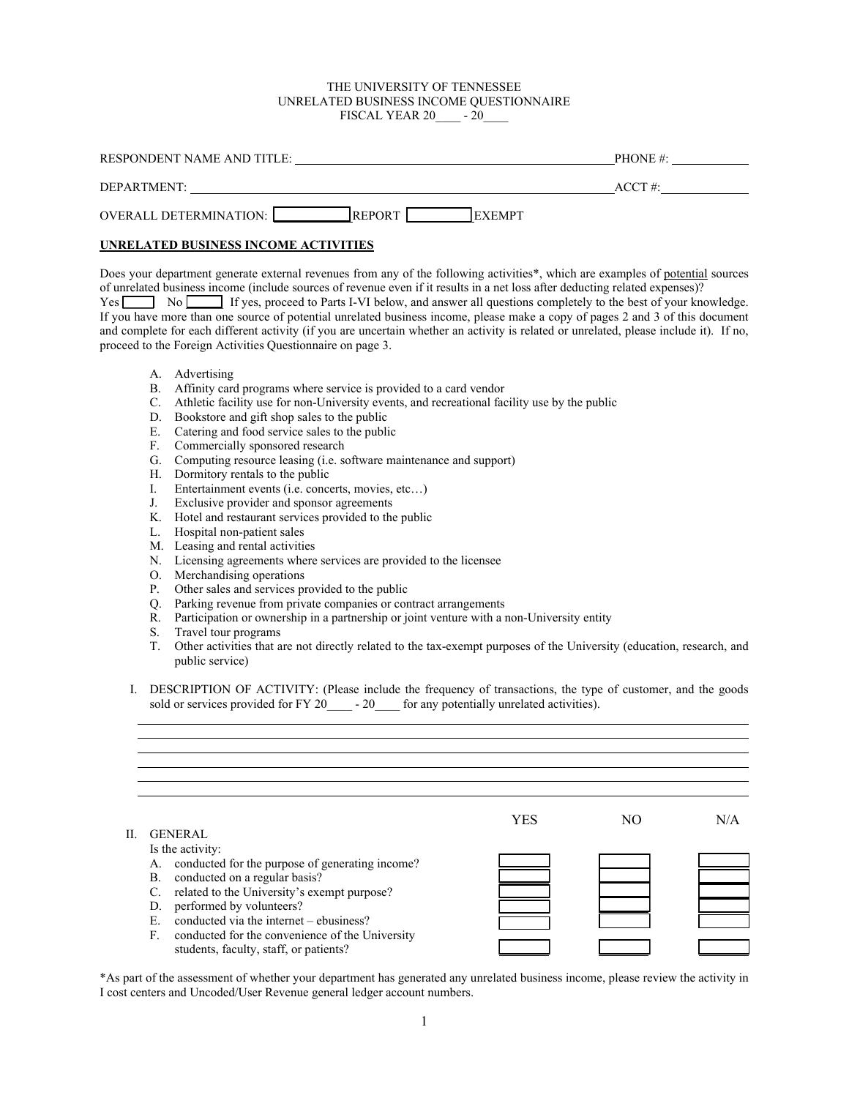#### THE UNIVERSITY OF TENNESSEE UNRELATED BUSINESS INCOME QUESTIONNAIRE FISCAL YEAR 20<sup>-1</sup>

| RESPONDENT NAME AND TITLE:                                        | PHONE#:   |
|-------------------------------------------------------------------|-----------|
| DEPARTMENT:                                                       | $ACCT \#$ |
| <b>IREPORT</b><br><b>OVERALL DETERMINATION:</b><br><b>IEXEMPT</b> |           |

# **UNRELATED BUSINESS INCOME ACTIVITIES**

Does your department generate external revenues from any of the following activities\*, which are examples of potential sources of unrelated business income (include sources of revenue even if it results in a net loss after deducting related expenses)? Yes No Reflex, proceed to Parts I-VI below, and answer all questions completely to the best of your knowledge.

If you have more than one source of potential unrelated business income, please make a copy of pages 2 and 3 of this document and complete for each different activity (if you are uncertain whether an activity is related or unrelated, please include it). If no, proceed to the Foreign Activities Questionnaire on page 3.

- A. Advertising
- B. Affinity card programs where service is provided to a card vendor
- C. Athletic facility use for non-University events, and recreational facility use by the public
- D. Bookstore and gift shop sales to the public
- E. Catering and food service sales to the public
- F. Commercially sponsored research
- G. Computing resource leasing (i.e. software maintenance and support)
- H. Dormitory rentals to the public
- I. Entertainment events (i.e. concerts, movies, etc…)
- J. Exclusive provider and sponsor agreements
- K. Hotel and restaurant services provided to the public
- L. Hospital non-patient sales
- M. Leasing and rental activities
- N. Licensing agreements where services are provided to the licensee
- O. Merchandising operations
- P. Other sales and services provided to the public
- Q. Parking revenue from private companies or contract arrangements
- R. Participation or ownership in a partnership or joint venture with a non-University entity
- S. Travel tour programs
- T. Other activities that are not directly related to the tax-exempt purposes of the University (education, research, and public service)
- I. DESCRIPTION OF ACTIVITY: (Please include the frequency of transactions, the type of customer, and the goods sold or services provided for FY 20<sup>-120</sup> - 20<sup>-6</sup> for any potentially unrelated activities).

|          |                                                                     | <b>YES</b> | NO | N/A |
|----------|---------------------------------------------------------------------|------------|----|-----|
| H.       | <b>GENERAL</b>                                                      |            |    |     |
|          | Is the activity:                                                    |            |    |     |
| А.       | conducted for the purpose of generating income?                     |            |    |     |
| В.       | conducted on a regular basis?                                       |            |    |     |
| C.       | related to the University's exempt purpose?                         |            |    |     |
| D.<br>E. | performed by volunteers?<br>conducted via the internet – ebusiness? |            |    |     |
| F.       | conducted for the convenience of the University                     |            |    |     |
|          | students, faculty, staff, or patients?                              |            |    |     |

\*As part of the assessment of whether your department has generated any unrelated business income, please review the activity in I cost centers and Uncoded/User Revenue general ledger account numbers.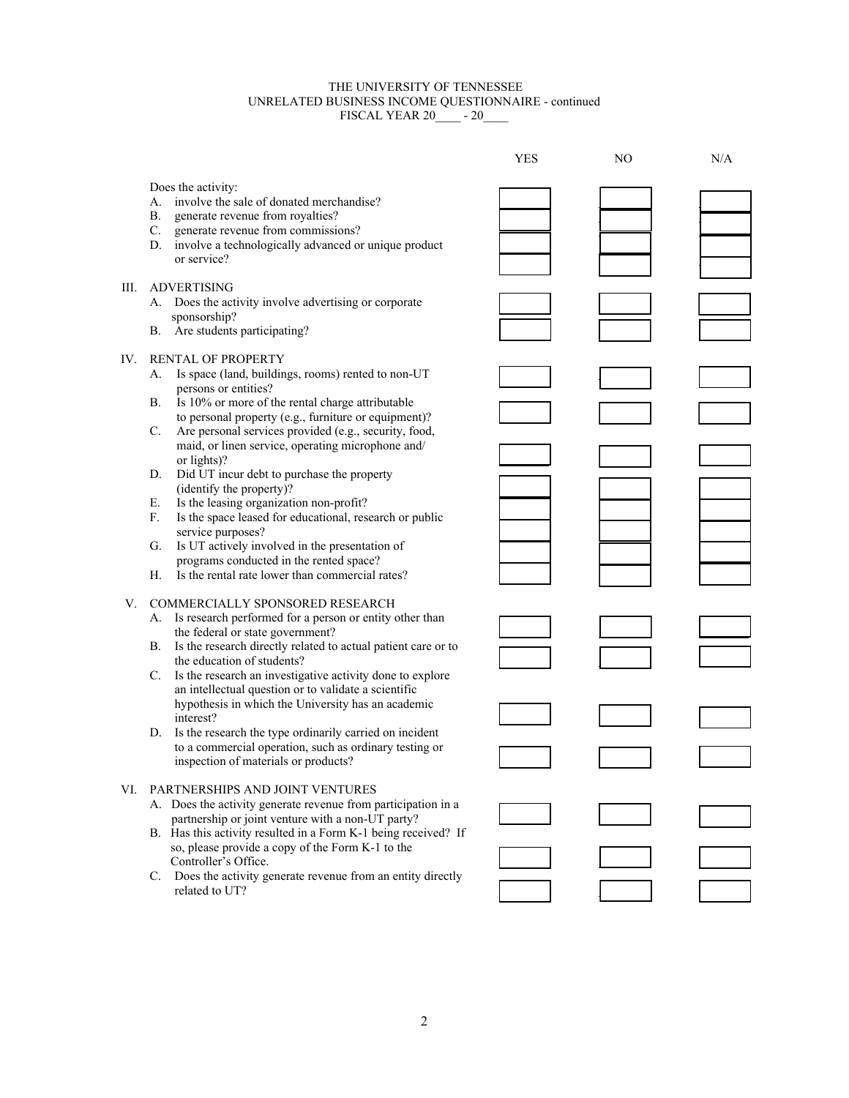#### THE UNIVERSITY OF TENNESSEE UNRELATED BUSINESS INCOME QUESTIONNAIRE - continued FISCAL YEAR 20<sup>---</sup> 20

|     |                                                                                                                                                                                                                                                                                                                                                                                                                                                                                                                                                                                                                                                                                                                                                                | <b>YES</b> | NO | N/A |
|-----|----------------------------------------------------------------------------------------------------------------------------------------------------------------------------------------------------------------------------------------------------------------------------------------------------------------------------------------------------------------------------------------------------------------------------------------------------------------------------------------------------------------------------------------------------------------------------------------------------------------------------------------------------------------------------------------------------------------------------------------------------------------|------------|----|-----|
|     | Does the activity:<br>involve the sale of donated merchandise?<br>А.<br>generate revenue from royalties?<br>В.<br>C.<br>generate revenue from commissions?<br>involve a technologically advanced or unique product<br>D.<br>or service?                                                                                                                                                                                                                                                                                                                                                                                                                                                                                                                        |            |    |     |
| Ш.  | <b>ADVERTISING</b><br>Does the activity involve advertising or corporate<br>А.<br>sponsorship?<br>Are students participating?<br>В.                                                                                                                                                                                                                                                                                                                                                                                                                                                                                                                                                                                                                            |            |    |     |
| IV. | <b>RENTAL OF PROPERTY</b><br>Is space (land, buildings, rooms) rented to non-UT<br>А.<br>persons or entities?<br>Is 10% or more of the rental charge attributable<br>В.<br>to personal property (e.g., furniture or equipment)?<br>Are personal services provided (e.g., security, food,<br>$C_{\cdot}$<br>maid, or linen service, operating microphone and/<br>or lights)?<br>Did UT incur debt to purchase the property<br>D.<br>(identify the property)?<br>Is the leasing organization non-profit?<br>Е.<br>Is the space leased for educational, research or public<br>F.<br>service purposes?<br>Is UT actively involved in the presentation of<br>G.<br>programs conducted in the rented space?<br>Is the rental rate lower than commercial rates?<br>Η. |            |    |     |
| V.  | COMMERCIALLY SPONSORED RESEARCH<br>Is research performed for a person or entity other than<br>А.<br>the federal or state government?<br>Is the research directly related to actual patient care or to<br>В.<br>the education of students?<br>Is the research an investigative activity done to explore<br>C.<br>an intellectual question or to validate a scientific<br>hypothesis in which the University has an academic<br>interest?<br>Is the research the type ordinarily carried on incident<br>D.<br>to a commercial operation, such as ordinary testing or<br>inspection of materials or products?                                                                                                                                                     |            |    |     |
| VI. | PARTNERSHIPS AND JOINT VENTURES<br>A. Does the activity generate revenue from participation in a<br>partnership or joint venture with a non-UT party?<br>B. Has this activity resulted in a Form K-1 being received? If<br>so, please provide a copy of the Form K-1 to the<br>Controller's Office.<br>C. Does the activity generate revenue from an entity directly<br>related to UT?                                                                                                                                                                                                                                                                                                                                                                         |            |    |     |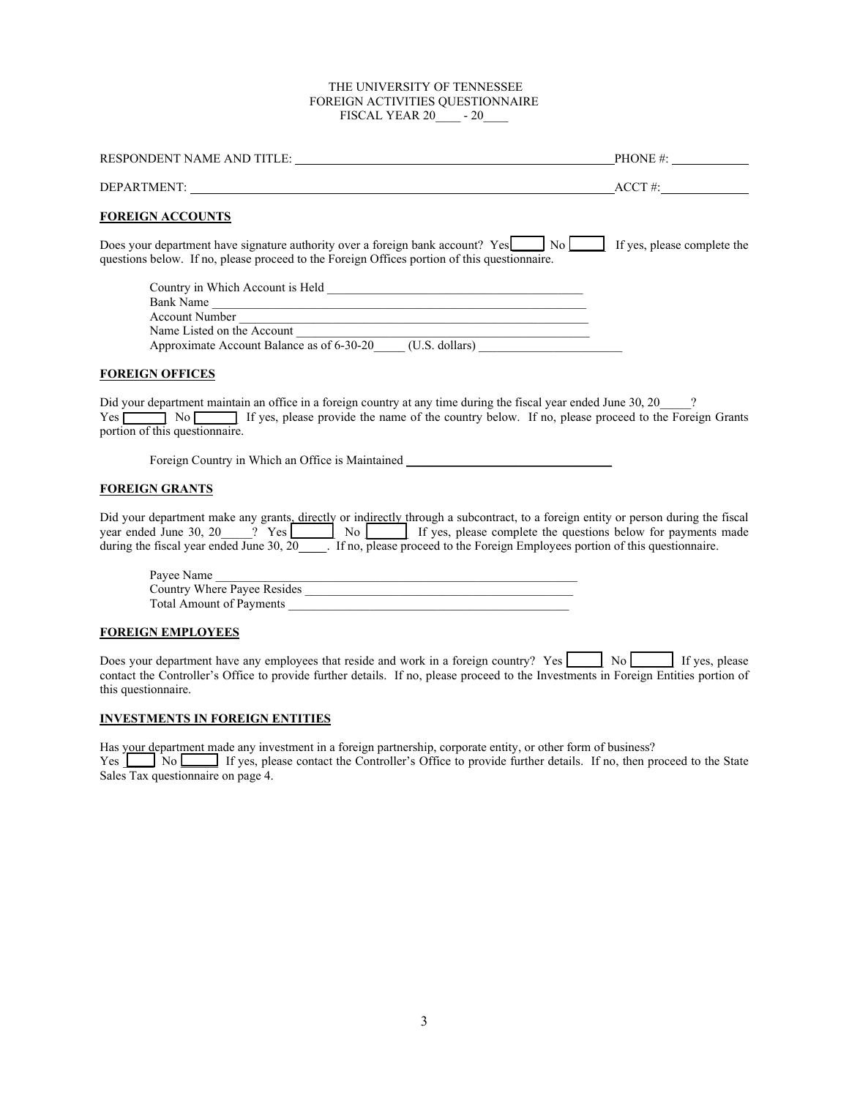## THE UNIVERSITY OF TENNESSEE FOREIGN ACTIVITIES QUESTIONNAIRE FISCAL YEAR  $20$  - 20

| <b>FOREIGN ACCOUNTS</b>                                                                                                                                                                                                                                             |  |
|---------------------------------------------------------------------------------------------------------------------------------------------------------------------------------------------------------------------------------------------------------------------|--|
| Does your department have signature authority over a foreign bank account? Yes No Kingdom States of Biggs and H<br>questions below. If no, please proceed to the Foreign Offices portion of this questionnaire.                                                     |  |
| Bank Name<br>Account Number<br>Name Listed on the Account<br>Approximate Account Balance as of 6-30-20_____ (U.S. dollars)                                                                                                                                          |  |
| <b>FOREIGN OFFICES</b>                                                                                                                                                                                                                                              |  |
| Did your department maintain an office in a foreign country at any time during the fiscal year ended June 30, 20 ?<br>Yes No No If yes, please provide the name of the country below. If no, please proceed to the Foreign Grants<br>portion of this questionnaire. |  |
| Foreign Country in Which an Office is Maintained _______________________________                                                                                                                                                                                    |  |
| <b>FOREIGN GRANTS</b>                                                                                                                                                                                                                                               |  |
| Did your department make any grants, directly or indirectly through a subcontract, to a foreign entity or person during the fiscal                                                                                                                                  |  |

| year ended June 30, 20 $\%$ ? Yes        |  | No l |  |  |  |  | If yes, please complete the questions below for payments made |  |
|------------------------------------------|--|------|--|--|--|--|---------------------------------------------------------------|--|
| during the fiscal year ended June 30, 20 |  |      |  |  |  |  |                                                               |  |

| Payee Name                      |  |
|---------------------------------|--|
| Country Where Payee Resides     |  |
| <b>Total Amount of Payments</b> |  |

# **FOREIGN EMPLOYEES**

Does your department have any employees that reside and work in a foreign country? Yes No Lucky If yes, please contact the Controller's Office to provide further details. If no, please proceed to the Investments in Foreign Entities portion of this questionnaire.

## **INVESTMENTS IN FOREIGN ENTITIES**

Has your department made any investment in a foreign partnership, corporate entity, or other form of business?

Yes No U If yes, please contact the Controller's Office to provide further details. If no, then proceed to the State Sales Tax questionnaire on page 4.